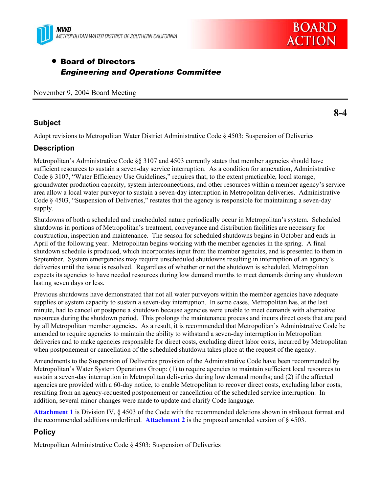



**8-4** 

# • Board of Directors *Engineering and Operations Committee*

November 9, 2004 Board Meeting

### **Subject**

Adopt revisions to Metropolitan Water District Administrative Code § 4503: Suspension of Deliveries

# **Description**

Metropolitan's Administrative Code §§ 3107 and 4503 currently states that member agencies should have sufficient resources to sustain a seven-day service interruption. As a condition for annexation, Administrative Code § 3107, "Water Efficiency Use Guidelines," requires that, to the extent practicable, local storage, groundwater production capacity, system interconnections, and other resources within a member agency's service area allow a local water purveyor to sustain a seven-day interruption in Metropolitan deliveries. Administrative Code § 4503, "Suspension of Deliveries," restates that the agency is responsible for maintaining a seven-day supply.

Shutdowns of both a scheduled and unscheduled nature periodically occur in Metropolitan's system. Scheduled shutdowns in portions of Metropolitan's treatment, conveyance and distribution facilities are necessary for construction, inspection and maintenance. The season for scheduled shutdowns begins in October and ends in April of the following year. Metropolitan begins working with the member agencies in the spring. A final shutdown schedule is produced, which incorporates input from the member agencies, and is presented to them in September. System emergencies may require unscheduled shutdowns resulting in interruption of an agency's deliveries until the issue is resolved. Regardless of whether or not the shutdown is scheduled, Metropolitan expects its agencies to have needed resources during low demand months to meet demands during any shutdown lasting seven days or less.

Previous shutdowns have demonstrated that not all water purveyors within the member agencies have adequate supplies or system capacity to sustain a seven-day interruption. In some cases, Metropolitan has, at the last minute, had to cancel or postpone a shutdown because agencies were unable to meet demands with alternative resources during the shutdown period. This prolongs the maintenance process and incurs direct costs that are paid by all Metropolitan member agencies. As a result, it is recommended that Metropolitan's Administrative Code be amended to require agencies to maintain the ability to withstand a seven-day interruption in Metropolitan deliveries and to make agencies responsible for direct costs, excluding direct labor costs, incurred by Metropolitan when postponement or cancellation of the scheduled shutdown takes place at the request of the agency.

Amendments to the Suspension of Deliveries provision of the Administrative Code have been recommended by Metropolitan's Water System Operations Group: (1) to require agencies to maintain sufficient local resources to sustain a seven-day interruption in Metropolitan deliveries during low demand months; and (2) if the affected agencies are provided with a 60-day notice, to enable Metropolitan to recover direct costs, excluding labor costs, resulting from an agency-requested postponement or cancellation of the scheduled service interruption. In addition, several minor changes were made to update and clarify Code language.

**Attachment 1** is Division IV, § 4503 of the Code with the recommended deletions shown in strikeout format and the recommended additions underlined. **Attachment 2** is the proposed amended version of § 4503.

# **Policy**

Metropolitan Administrative Code § 4503: Suspension of Deliveries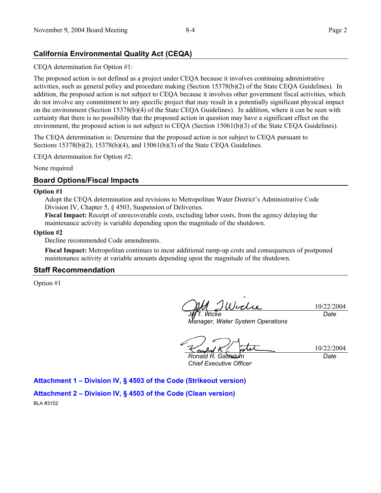# **California Environmental Quality Act (CEQA)**

CEQA determination for Option #1:

The proposed action is not defined as a project under CEQA because it involves continuing administrative activities, such as general policy and procedure making (Section 15378(b)(2) of the State CEQA Guidelines). In addition, the proposed action is not subject to CEQA because it involves other government fiscal activities, which do not involve any commitment to any specific project that may result in a potentially significant physical impact on the environment (Section 15378(b)(4) of the State CEQA Guidelines). In addition, where it can be seen with certainty that there is no possibility that the proposed action in question may have a significant effect on the environment, the proposed action is not subject to CEQA (Section 15061(b)(3) of the State CEQA Guidelines).

The CEQA determination is: Determine that the proposed action is not subject to CEQA pursuant to Sections 15378(b)(2), 15378(b)(4), and 15061(b)(3) of the State CEQA Guidelines.

CEQA determination for Option #2:

None required

### **Board Options/Fiscal Impacts**

#### **Option #1**

Adopt the CEQA determination and revisions to Metropolitan Water District's Administrative Code Division IV, Chapter 5, § 4503, Suspension of Deliveries.

**Fiscal Impact:** Receipt of unrecoverable costs, excluding labor costs, from the agency delaying the maintenance activity is variable depending upon the magnitude of the shutdown.

#### **Option #2**

Decline recommended Code amendments.

**Fiscal Impact:** Metropolitan continues to incur additional ramp-up costs and consequences of postponed maintenance activity at variable amounts depending upon the magnitude of the shutdown.

### **Staff Recommendation**

Option #1

10/22/2004 *Date* 

*Jill T. Wicke Manager, Water System Operations* 

10/22/2004 *Date* 

*Ronald R. Gastelum Chief Executive Officer* 

**Attachment 1 – Division IV, § 4503 of the Code (Strikeout version)** 

**Attachment 2 – Division IV, § 4503 of the Code (Clean version)**  BLA #3152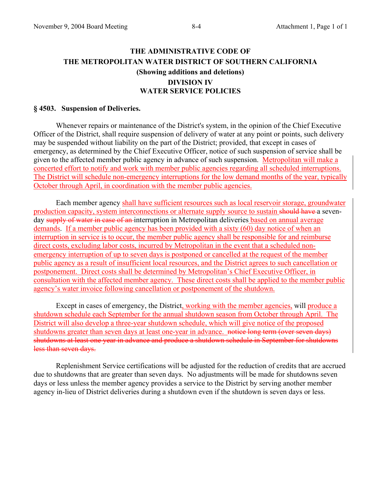# **THE ADMINISTRATIVE CODE OF THE METROPOLITAN WATER DISTRICT OF SOUTHERN CALIFORNIA (Showing additions and deletions) DIVISION IV WATER SERVICE POLICIES**

### **§ 4503. Suspension of Deliveries.**

 Whenever repairs or maintenance of the District's system, in the opinion of the Chief Executive Officer of the District, shall require suspension of delivery of water at any point or points, such delivery may be suspended without liability on the part of the District; provided, that except in cases of emergency, as determined by the Chief Executive Officer, notice of such suspension of service shall be given to the affected member public agency in advance of such suspension. Metropolitan will make a concerted effort to notify and work with member public agencies regarding all scheduled interruptions. The District will schedule non-emergency interruptions for the low demand months of the year, typically October through April, in coordination with the member public agencies.

 Each member agency shall have sufficient resources such as local reservoir storage, groundwater production capacity, system interconnections or alternate supply source to sustain should have a sevenday supply of water in case of an interruption in Metropolitan deliveries based on annual average demands. If a member public agency has been provided with a sixty (60) day notice of when an interruption in service is to occur, the member public agency shall be responsible for and reimburse direct costs, excluding labor costs, incurred by Metropolitan in the event that a scheduled nonemergency interruption of up to seven days is postponed or cancelled at the request of the member public agency as a result of insufficient local resources, and the District agrees to such cancellation or postponement. Direct costs shall be determined by Metropolitan's Chief Executive Officer, in consultation with the affected member agency. These direct costs shall be applied to the member public agency's water invoice following cancellation or postponement of the shutdown.

Except in cases of emergency, the District, working with the member agencies, will produce a shutdown schedule each September for the annual shutdown season from October through April. The District will also develop a three-year shutdown schedule, which will give notice of the proposed shutdowns greater than seven days at least one-year in advance. notice long term (over seven days) shutdowns at least one year in advance and produce a shutdown schedule in September for shutdowns less than seven days.

 Replenishment Service certifications will be adjusted for the reduction of credits that are accrued due to shutdowns that are greater than seven days. No adjustments will be made for shutdowns seven days or less unless the member agency provides a service to the District by serving another member agency in-lieu of District deliveries during a shutdown even if the shutdown is seven days or less.